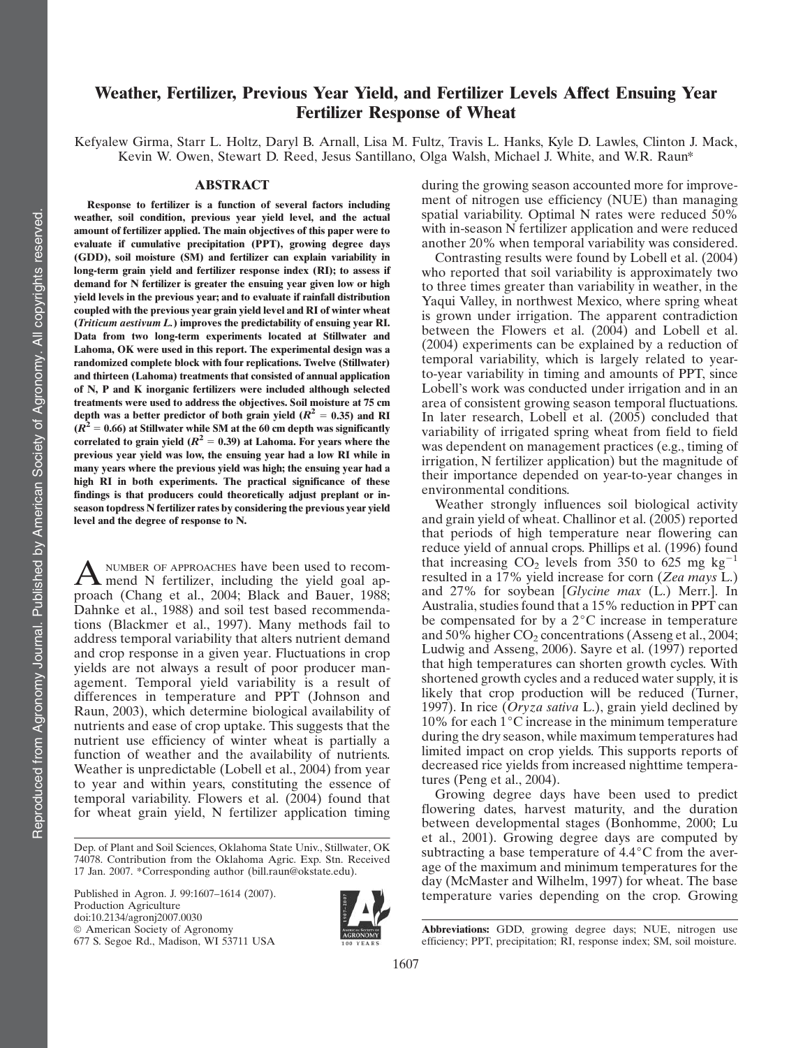# Weather, Fertilizer, Previous Year Yield, and Fertilizer Levels Affect Ensuing Year Fertilizer Response of Wheat

Kefyalew Girma, Starr L. Holtz, Daryl B. Arnall, Lisa M. Fultz, Travis L. Hanks, Kyle D. Lawles, Clinton J. Mack, Kevin W. Owen, Stewart D. Reed, Jesus Santillano, Olga Walsh, Michael J. White, and W.R. Raun\*

### ABSTRACT

Response to fertilizer is a function of several factors including weather, soil condition, previous year yield level, and the actual amount of fertilizer applied. The main objectives of this paper were to evaluate if cumulative precipitation (PPT), growing degree days (GDD), soil moisture (SM) and fertilizer can explain variability in long-term grain yield and fertilizer response index (RI); to assess if demand for N fertilizer is greater the ensuing year given low or high yield levels in the previous year; and to evaluate if rainfall distribution coupled with the previous year grain yield level and RI of winter wheat (Triticum aestivum L.) improves the predictability of ensuing year RI. Data from two long-term experiments located at Stillwater and Lahoma, OK were used in this report. The experimental design was a randomized complete block with four replications. Twelve (Stillwater) and thirteen (Lahoma) treatments that consisted of annual application of N, P and K inorganic fertilizers were included although selected treatments were used to address the objectives. Soil moisture at 75 cm depth was a better predictor of both grain yield  $(R^2 = 0.35)$  and RI  $(R<sup>2</sup> = 0.66)$  at Stillwater while SM at the 60 cm depth was significantly correlated to grain yield ( $R^2 = 0.39$ ) at Lahoma. For years where the previous year yield was low, the ensuing year had a low RI while in many years where the previous yield was high; the ensuing year had a high RI in both experiments. The practical significance of these findings is that producers could theoretically adjust preplant or inseason topdress N fertilizer rates by considering the previous year yield level and the degree of response to N.

A NUMBER OF APPROACHES have been used to recom-<br>mend N fertilizer, including the yield goal approach (Chang et al., 2004; Black and Bauer, 1988; Dahnke et al., 1988) and soil test based recommendations (Blackmer et al., 1997). Many methods fail to address temporal variability that alters nutrient demand and crop response in a given year. Fluctuations in crop yields are not always a result of poor producer management. Temporal yield variability is a result of differences in temperature and PPT (Johnson and Raun, 2003), which determine biological availability of nutrients and ease of crop uptake. This suggests that the nutrient use efficiency of winter wheat is partially a function of weather and the availability of nutrients. Weather is unpredictable (Lobell et al., 2004) from year to year and within years, constituting the essence of temporal variability. Flowers et al. (2004) found that for wheat grain yield, N fertilizer application timing

Published in Agron. J. 99:1607–1614 (2007). Production Agriculture doi:10.2134/agronj2007.0030  $@$  American Society of Agronomy 677 S. Segoe Rd., Madison, WI 53711 USA



during the growing season accounted more for improvement of nitrogen use efficiency (NUE) than managing spatial variability. Optimal N rates were reduced 50% with in-season N fertilizer application and were reduced another 20% when temporal variability was considered.

Contrasting results were found by Lobell et al. (2004) who reported that soil variability is approximately two to three times greater than variability in weather, in the Yaqui Valley, in northwest Mexico, where spring wheat is grown under irrigation. The apparent contradiction between the Flowers et al. (2004) and Lobell et al. (2004) experiments can be explained by a reduction of temporal variability, which is largely related to yearto-year variability in timing and amounts of PPT, since Lobell's work was conducted under irrigation and in an area of consistent growing season temporal fluctuations. In later research, Lobell et al. (2005) concluded that variability of irrigated spring wheat from field to field was dependent on management practices (e.g., timing of irrigation, N fertilizer application) but the magnitude of their importance depended on year-to-year changes in environmental conditions.

Weather strongly influences soil biological activity and grain yield of wheat. Challinor et al. (2005) reported that periods of high temperature near flowering can reduce yield of annual crops. Phillips et al. (1996) found that increasing  $CO<sub>2</sub>$  levels from 350 to 625 mg kg<sup>-1</sup> resulted in a 17% yield increase for corn (Zea mays L.) and 27% for soybean [Glycine max (L.) Merr.]. In Australia, studies found that a 15% reduction in PPT can be compensated for by a  $2^{\circ}$ C increase in temperature and 50% higher  $CO<sub>2</sub>$  concentrations (Asseng et al., 2004; Ludwig and Asseng, 2006). Sayre et al. (1997) reported that high temperatures can shorten growth cycles. With shortened growth cycles and a reduced water supply, it is likely that crop production will be reduced (Turner, 1997). In rice  $\overline{(Oryza sativa L)}$ , grain yield declined by 10% for each  $1^{\circ}$ C increase in the minimum temperature during the dry season, while maximum temperatures had limited impact on crop yields. This supports reports of decreased rice yields from increased nighttime temperatures (Peng et al., 2004).

Growing degree days have been used to predict flowering dates, harvest maturity, and the duration between developmental stages (Bonhomme, 2000; Lu et al., 2001). Growing degree days are computed by subtracting a base temperature of  $4.4^{\circ}$ C from the average of the maximum and minimum temperatures for the day (McMaster and Wilhelm, 1997) for wheat. The base temperature varies depending on the crop. Growing

Abbreviations: GDD, growing degree days; NUE, nitrogen use efficiency; PPT, precipitation; RI, response index; SM, soil moisture.

Dep. of Plant and Soil Sciences, Oklahoma State Univ., Stillwater, OK 74078. Contribution from the Oklahoma Agric. Exp. Stn. Received 17 Jan. 2007. \*Corresponding author (bill.raun@okstate.edu).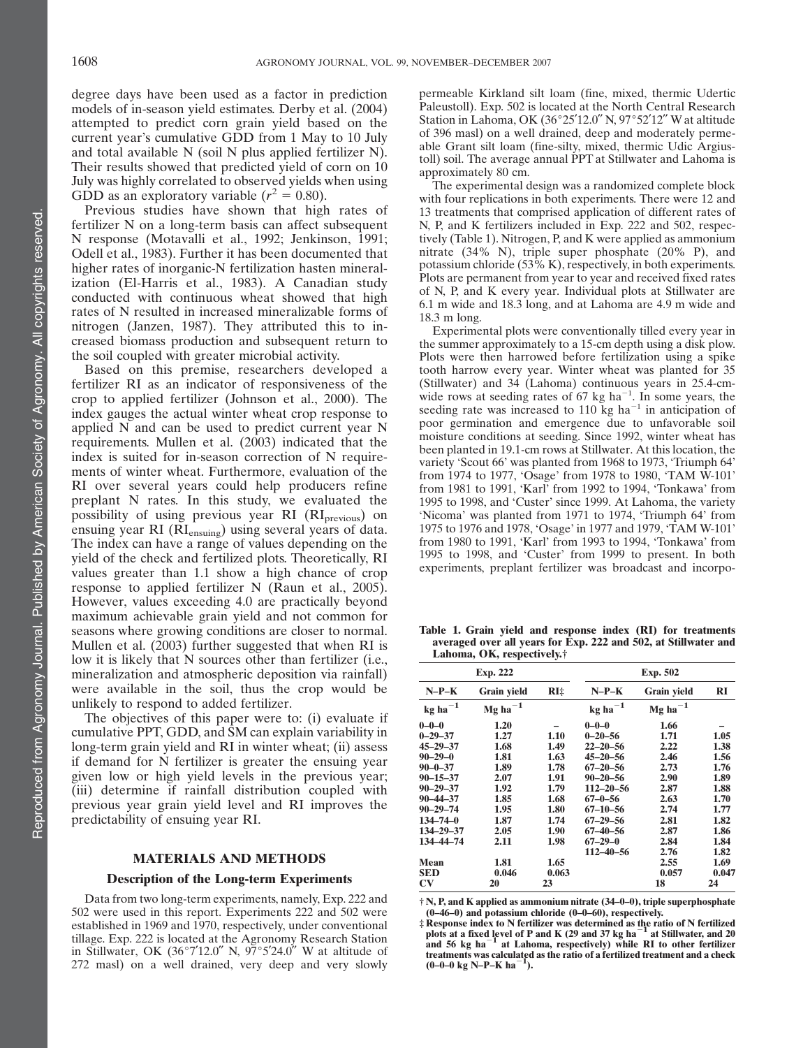degree days have been used as a factor in prediction models of in-season yield estimates. Derby et al. (2004) attempted to predict corn grain yield based on the current year's cumulative GDD from 1 May to 10 July and total available N (soil N plus applied fertilizer N). Their results showed that predicted yield of corn on 10 July was highly correlated to observed yields when using GDD as an exploratory variable ( $r^2 = 0.80$ ).

Previous studies have shown that high rates of fertilizer N on a long-term basis can affect subsequent N response (Motavalli et al., 1992; Jenkinson, 1991; Odell et al., 1983). Further it has been documented that higher rates of inorganic-N fertilization hasten mineralization (El-Harris et al., 1983). A Canadian study conducted with continuous wheat showed that high rates of N resulted in increased mineralizable forms of nitrogen (Janzen, 1987). They attributed this to increased biomass production and subsequent return to the soil coupled with greater microbial activity.

Based on this premise, researchers developed a fertilizer RI as an indicator of responsiveness of the crop to applied fertilizer (Johnson et al., 2000). The index gauges the actual winter wheat crop response to applied N and can be used to predict current year N requirements. Mullen et al. (2003) indicated that the index is suited for in-season correction of N requirements of winter wheat. Furthermore, evaluation of the RI over several years could help producers refine preplant N rates. In this study, we evaluated the possibility of using previous year RI (RI<sub>previous</sub>) on ensuing year RI (RIensuing) using several years of data. The index can have a range of values depending on the yield of the check and fertilized plots. Theoretically, RI values greater than 1.1 show a high chance of crop response to applied fertilizer N (Raun et al., 2005). However, values exceeding 4.0 are practically beyond maximum achievable grain yield and not common for seasons where growing conditions are closer to normal. Mullen et al. (2003) further suggested that when RI is low it is likely that N sources other than fertilizer (i.e., mineralization and atmospheric deposition via rainfall) were available in the soil, thus the crop would be unlikely to respond to added fertilizer.

The objectives of this paper were to: (i) evaluate if cumulative PPT, GDD, and SM can explain variability in long-term grain yield and RI in winter wheat; (ii) assess if demand for N fertilizer is greater the ensuing year given low or high yield levels in the previous year; (iii) determine if rainfall distribution coupled with previous year grain yield level and RI improves the predictability of ensuing year RI.

### MATERIALS AND METHODS

## Description of the Long-term Experiments

Data from two long-term experiments, namely, Exp. 222 and 502 were used in this report. Experiments 222 and 502 were established in 1969 and 1970, respectively, under conventional tillage. Exp. 222 is located at the Agronomy Research Station in Stillwater, OK (36°7'12.0" N,  $97^{\circ}5'24.0''$  W at altitude of 272 masl) on a well drained, very deep and very slowly

permeable Kirkland silt loam (fine, mixed, thermic Udertic Paleustoll). Exp. 502 is located at the North Central Research Station in Lahoma, OK  $(36°25'12.0''$  N,  $97°52'12''$  W at altitude of 396 masl) on a well drained, deep and moderately permeable Grant silt loam (fine-silty, mixed, thermic Udic Argiustoll) soil. The average annual PPT at Stillwater and Lahoma is approximately 80 cm.

The experimental design was a randomized complete block with four replications in both experiments. There were 12 and 13 treatments that comprised application of different rates of N, P, and K fertilizers included in Exp. 222 and 502, respectively (Table 1). Nitrogen, P, and K were applied as ammonium nitrate (34% N), triple super phosphate (20% P), and potassium chloride (53% K), respectively, in both experiments. Plots are permanent from year to year and received fixed rates of N, P, and K every year. Individual plots at Stillwater are 6.1 m wide and 18.3 long, and at Lahoma are 4.9 m wide and 18.3 m long.

Experimental plots were conventionally tilled every year in the summer approximately to a 15-cm depth using a disk plow. Plots were then harrowed before fertilization using a spike tooth harrow every year. Winter wheat was planted for 35 (Stillwater) and 34 (Lahoma) continuous years in 25.4-cmwide rows at seeding rates of 67 kg ha<sup> $-1$ </sup>. In some years, the seeding rate was increased to 110 kg ha<sup>-1</sup> in anticipation of poor germination and emergence due to unfavorable soil moisture conditions at seeding. Since 1992, winter wheat has been planted in 19.1-cm rows at Stillwater. At this location, the variety 'Scout 66' was planted from 1968 to 1973, 'Triumph 64' from 1974 to 1977, 'Osage' from 1978 to 1980, 'TAM W-101' from 1981 to 1991, 'Karl' from 1992 to 1994, 'Tonkawa' from 1995 to 1998, and 'Custer' since 1999. At Lahoma, the variety 'Nicoma' was planted from 1971 to 1974, 'Triumph 64' from 1975 to 1976 and 1978, 'Osage' in 1977 and 1979, 'TAM W-101' from 1980 to 1991, 'Karl' from 1993 to 1994, 'Tonkawa' from 1995 to 1998, and 'Custer' from 1999 to present. In both experiments, preplant fertilizer was broadcast and incorpo-

Table 1. Grain yield and response index (RI) for treatments averaged over all years for Exp. 222 and 502, at Stillwater and Lahoma, OK, respectively.†

| Exp. 222               |                 |       | Exp. 502        |                    |       |  |
|------------------------|-----------------|-------|-----------------|--------------------|-------|--|
| $N-P-K$                | Grain yield     | RI‡   | $N-P-K$         | <b>Grain</b> yield | RI    |  |
| $\text{kg}$ ha $^{-1}$ | $Mg$ ha $^{-1}$ |       | $kg$ $ha^{-1}$  | $Mg$ ha $^{-1}$    |       |  |
| $0 - 0 - 0$            | 1.20            |       | $0 - 0 - 0$     | 1.66               |       |  |
| $0 - 29 - 37$          | 1.27            | 1.10  | $0 - 20 - 56$   | 1.71               | 1.05  |  |
| $45 - 29 - 37$         | 1.68            | 1.49  | $22 - 20 - 56$  | 2.22               | 1.38  |  |
| $90 - 29 - 0$          | 1.81            | 1.63  | $45 - 20 - 56$  | 2.46               | 1.56  |  |
| $90 - 0 - 37$          | 1.89            | 1.78  | $67 - 20 - 56$  | 2.73               | 1.76  |  |
| $90 - 15 - 37$         | 2.07            | 1.91  | $90 - 20 - 56$  | 2.90               | 1.89  |  |
| $90 - 29 - 37$         | 1.92            | 1.79  | $112 - 20 - 56$ | 2.87               | 1.88  |  |
| $90 - 44 - 37$         | 1.85            | 1.68  | $67 - 0 - 56$   | 2.63               | 1.70  |  |
| $90 - 29 - 74$         | 1.95            | 1.80  | $67 - 10 - 56$  | 2.74               | 1.77  |  |
| $134 - 74 - 0$         | 1.87            | 1.74  | $67 - 29 - 56$  | 2.81               | 1.82  |  |
| 134-29-37              | 2.05            | 1.90  | $67 - 40 - 56$  | 2.87               | 1.86  |  |
| 134-44-74              | 2.11            | 1.98  | $67 - 29 - 0$   | 2.84               | 1.84  |  |
|                        |                 |       | $112 - 40 - 56$ | 2.76               | 1.82  |  |
| Mean                   | 1.81            | 1.65  |                 | 2.55               | 1.69  |  |
| <b>SED</b>             | 0.046           | 0.063 |                 | 0.057              | 0.047 |  |
| $\mathbf{C}\mathbf{V}$ | 20              | 23    |                 | 18                 | 24    |  |

† N, P, and K applied as ammonium nitrate (34–0–0), triple superphosphate (0–46–0) and potassium chloride (0–0–60), respectively.

‡ Response index to N fertilizer was determined as the ratio of N fertilized plots at a fixed level of P and K (29 and 37 kg ha<sup>-1</sup> at Stillwater, and 20 and 56 kg ha<sup>-1</sup> at Lahoma, respectively) while RI to other fertili treatments was calculated as the ratio of a fertilized treatment and a check  $(0-0-0 \text{ kg N}-P-K \text{ ha}^{-1})$ ).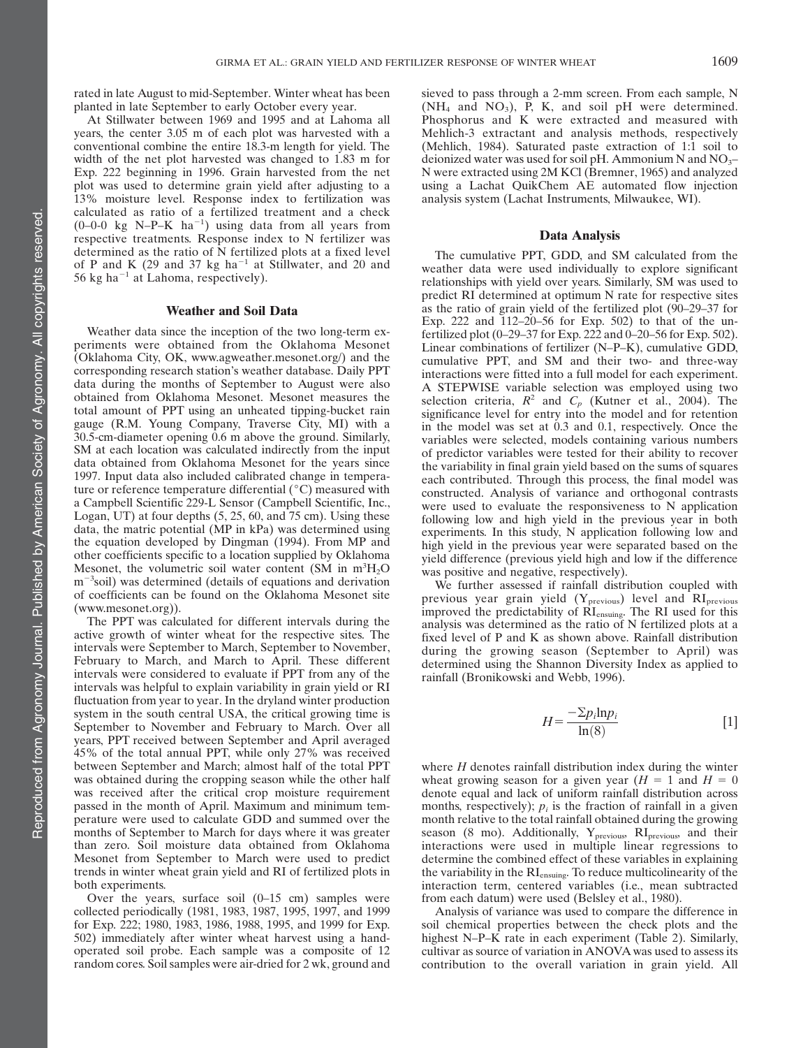rated in late August to mid-September. Winter wheat has been planted in late September to early October every year.

At Stillwater between 1969 and 1995 and at Lahoma all years, the center 3.05 m of each plot was harvested with a conventional combine the entire 18.3-m length for yield. The width of the net plot harvested was changed to 1.83 m for Exp. 222 beginning in 1996. Grain harvested from the net plot was used to determine grain yield after adjusting to a 13% moisture level. Response index to fertilization was calculated as ratio of a fertilized treatment and a check  $(0-0-0$  kg N-P-K ha<sup>-1</sup>) using data from all years from respective treatments. Response index to N fertilizer was determined as the ratio of N fertilized plots at a fixed level of P and K (29 and 37 kg ha<sup>-1</sup> at Stillwater, and 20 and 56 kg ha<sup> $-1$ </sup> at Lahoma, respectively).

### Weather and Soil Data

Weather data since the inception of the two long-term experiments were obtained from the Oklahoma Mesonet (Oklahoma City, OK, www.agweather.mesonet.org/) and the corresponding research station's weather database. Daily PPT data during the months of September to August were also obtained from Oklahoma Mesonet. Mesonet measures the total amount of PPT using an unheated tipping-bucket rain gauge (R.M. Young Company, Traverse City, MI) with a 30.5-cm-diameter opening 0.6 m above the ground. Similarly, SM at each location was calculated indirectly from the input data obtained from Oklahoma Mesonet for the years since 1997. Input data also included calibrated change in temperature or reference temperature differential  $(°C)$  measured with a Campbell Scientific 229-L Sensor (Campbell Scientific, Inc., Logan, UT) at four depths (5, 25, 60, and 75 cm). Using these data, the matric potential (MP in kPa) was determined using the equation developed by Dingman (1994). From MP and other coefficients specific to a location supplied by Oklahoma Mesonet, the volumetric soil water content (SM in  $m^3H_2O$ m<sup>-3</sup>soil) was determined (details of equations and derivation of coefficients can be found on the Oklahoma Mesonet site (www.mesonet.org)).

The PPT was calculated for different intervals during the active growth of winter wheat for the respective sites. The intervals were September to March, September to November, February to March, and March to April. These different intervals were considered to evaluate if PPT from any of the intervals was helpful to explain variability in grain yield or RI fluctuation from year to year. In the dryland winter production system in the south central USA, the critical growing time is September to November and February to March. Over all years, PPT received between September and April averaged 45% of the total annual PPT, while only 27% was received between September and March; almost half of the total PPT was obtained during the cropping season while the other half was received after the critical crop moisture requirement passed in the month of April. Maximum and minimum temperature were used to calculate GDD and summed over the months of September to March for days where it was greater than zero. Soil moisture data obtained from Oklahoma Mesonet from September to March were used to predict trends in winter wheat grain yield and RI of fertilized plots in both experiments.

Over the years, surface soil  $(0-15 \text{ cm})$  samples were collected periodically (1981, 1983, 1987, 1995, 1997, and 1999 for Exp. 222; 1980, 1983, 1986, 1988, 1995, and 1999 for Exp. 502) immediately after winter wheat harvest using a handoperated soil probe. Each sample was a composite of 12 random cores. Soil samples were air-dried for 2 wk, ground and

sieved to pass through a 2-mm screen. From each sample, N  $(NH_4$  and  $NO_3)$ , P, K, and soil pH were determined. Phosphorus and K were extracted and measured with Mehlich-3 extractant and analysis methods, respectively (Mehlich, 1984). Saturated paste extraction of 1:1 soil to deionized water was used for soil pH. Ammonium N and  $NO<sub>3</sub>$ – N were extracted using 2M KCl (Bremner, 1965) and analyzed using a Lachat QuikChem AE automated flow injection analysis system (Lachat Instruments, Milwaukee, WI).

#### Data Analysis

The cumulative PPT, GDD, and SM calculated from the weather data were used individually to explore significant relationships with yield over years. Similarly, SM was used to predict RI determined at optimum N rate for respective sites as the ratio of grain yield of the fertilized plot (90–29–37 for Exp. 222 and 112–20–56 for Exp. 502) to that of the unfertilized plot (0–29–37 for Exp. 222 and 0–20–56 for Exp. 502). Linear combinations of fertilizer (N–P–K), cumulative GDD, cumulative PPT, and SM and their two- and three-way interactions were fitted into a full model for each experiment. A STEPWISE variable selection was employed using two selection criteria,  $R^2$  and  $C_p$  (Kutner et al., 2004). The significance level for entry into the model and for retention in the model was set at 0.3 and 0.1, respectively. Once the variables were selected, models containing various numbers of predictor variables were tested for their ability to recover the variability in final grain yield based on the sums of squares each contributed. Through this process, the final model was constructed. Analysis of variance and orthogonal contrasts were used to evaluate the responsiveness to N application following low and high yield in the previous year in both experiments. In this study, N application following low and high yield in the previous year were separated based on the yield difference (previous yield high and low if the difference was positive and negative, respectively).

We further assessed if rainfall distribution coupled with previous year grain yield  $(Y_{previous})$  level and  $RI_{previous}$ improved the predictability of RIensuing. The RI used for this analysis was determined as the ratio of N fertilized plots at a fixed level of P and K as shown above. Rainfall distribution during the growing season (September to April) was determined using the Shannon Diversity Index as applied to rainfall (Bronikowski and Webb, 1996).

$$
H = \frac{-\sum p_i \ln p_i}{\ln(8)}\tag{1}
$$

where  $H$  denotes rainfall distribution index during the winter wheat growing season for a given year  $(H = 1 \text{ and } H = 0$ denote equal and lack of uniform rainfall distribution across months, respectively);  $p_i$  is the fraction of rainfall in a given month relative to the total rainfall obtained during the growing season (8 mo). Additionally,  $Y_{previous}$ ,  $RI_{previous}$ , and their interactions were used in multiple linear regressions to determine the combined effect of these variables in explaining the variability in the RI<sub>ensuing</sub>. To reduce multicolinearity of the interaction term, centered variables (i.e., mean subtracted from each datum) were used (Belsley et al., 1980).

Analysis of variance was used to compare the difference in soil chemical properties between the check plots and the highest N–P–K rate in each experiment (Table 2). Similarly, cultivar as source of variation in ANOVA was used to assess its contribution to the overall variation in grain yield. All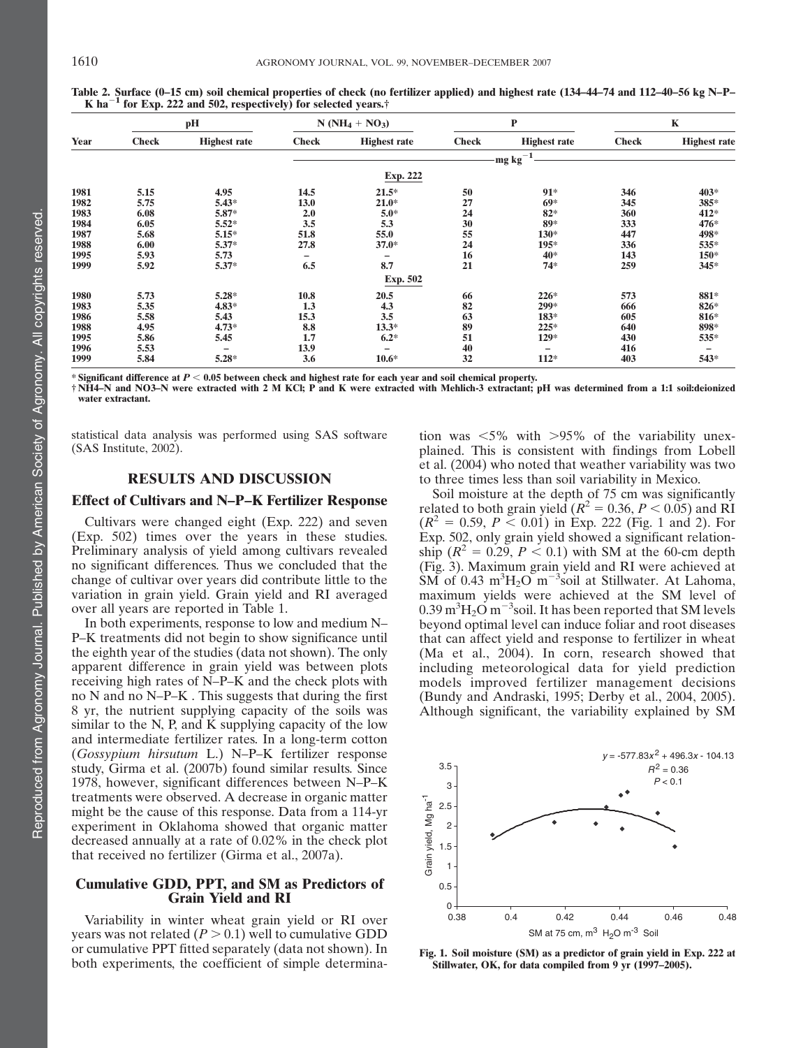|      | pH           |                     | $N(NH_4 + NO_3)$ |                          | $\mathbf{P}$ |                     | $\mathbf K$  |                          |
|------|--------------|---------------------|------------------|--------------------------|--------------|---------------------|--------------|--------------------------|
| Year | <b>Check</b> | <b>Highest rate</b> | <b>Check</b>     | <b>Highest rate</b>      | <b>Check</b> | <b>Highest rate</b> | <b>Check</b> | <b>Highest rate</b>      |
|      |              |                     |                  |                          |              | $-1$<br>mg kg       |              |                          |
|      |              |                     |                  | Exp. 222                 |              |                     |              |                          |
| 1981 | 5.15         | 4.95                | 14.5             | $21.5*$                  | 50           | $91*$               | 346          | 403*                     |
| 1982 | 5.75         | $5.43*$             | 13.0             | $21.0*$                  | 27           | $69*$               | 345          | 385*                     |
| 1983 | 6.08         | 5.87*               | 2.0              | $5.0*$                   | 24           | $82*$               | 360          | 412*                     |
| 1984 | 6.05         | $5.52*$             | 3.5              | 5.3                      | 30           | 89*                 | 333          | 476*                     |
| 1987 | 5.68         | $5.15*$             | 51.8             | 55.0                     | 55           | 130*                | 447          | 498*                     |
| 1988 | 6.00         | $5.37*$             | 27.8             | $37.0*$                  | 24           | 195*                | 336          | 535*                     |
| 1995 | 5.93         | 5.73                |                  |                          | 16           | 40*                 | 143          | 150*                     |
| 1999 | 5.92         | $5.37*$             | 6.5              | 8.7                      | 21           | $74*$               | 259          | 345*                     |
|      |              |                     |                  | <b>Exp. 502</b>          |              |                     |              |                          |
| 1980 | 5.73         | $5.28*$             | 10.8             | 20.5                     | 66           | $226*$              | 573          | 881*                     |
| 1983 | 5.35         | $4.83*$             | 1.3              | 4.3                      | 82           | 299*                | 666          | 826*                     |
| 1986 | 5.58         | 5.43                | 15.3             | 3.5                      | 63           | 183*                | 605          | 816*                     |
| 1988 | 4.95         | $4.73*$             | 8.8              | $13.3*$                  | 89           | 225*                | 640          | 898*                     |
| 1995 | 5.86         | 5.45                | 1,7              | $6.2*$                   | 51           | $129*$              | 430          | 535*                     |
| 1996 | 5.53         |                     | 13.9             | $\overline{\phantom{0}}$ | 40           | -                   | 416          | $\overline{\phantom{0}}$ |
| 1999 | 5.84         | $5.28*$             | 3.6              | $10.6*$                  | 32           | $112*$              | 403          | 543*                     |

Table 2. Surface (0–15 cm) soil chemical properties of check (no fertilizer applied) and highest rate (134–44–74 and 112–40–56 kg N–P–<br>K ha<sup>-1</sup> for Exp. 222 and 502, respectively) for selected years.†

\* Significant difference at  $P < 0.05$  between check and highest rate for each year and soil chemical property.

† NH4–N and NO3–N were extracted with 2 M KCl; P and K were extracted with Mehlich-3 extractant; pH was determined from a 1:1 soil:deionized water extractant.

statistical data analysis was performed using SAS software (SAS Institute, 2002).

# RESULTS AND DISCUSSION

# Effect of Cultivars and N–P–K Fertilizer Response

Cultivars were changed eight (Exp. 222) and seven (Exp. 502) times over the years in these studies. Preliminary analysis of yield among cultivars revealed no significant differences. Thus we concluded that the change of cultivar over years did contribute little to the variation in grain yield. Grain yield and RI averaged over all years are reported in Table 1.

In both experiments, response to low and medium N– P–K treatments did not begin to show significance until the eighth year of the studies (data not shown). The only apparent difference in grain yield was between plots receiving high rates of N–P–K and the check plots with no N and no N–P–K . This suggests that during the first 8 yr, the nutrient supplying capacity of the soils was similar to the N, P, and K supplying capacity of the low and intermediate fertilizer rates. In a long-term cotton (Gossypium hirsutum L.) N–P–K fertilizer response study, Girma et al. (2007b) found similar results. Since 1978, however, significant differences between N–P–K treatments were observed. A decrease in organic matter might be the cause of this response. Data from a 114-yr experiment in Oklahoma showed that organic matter decreased annually at a rate of 0.02% in the check plot that received no fertilizer (Girma et al., 2007a).

## Cumulative GDD, PPT, and SM as Predictors of Grain Yield and RI

Variability in winter wheat grain yield or RI over years was not related  $(P > 0.1)$  well to cumulative GDD or cumulative PPT fitted separately (data not shown). In both experiments, the coefficient of simple determina-

tion was  $\langle 5\% \rangle$  with  $>95\%$  of the variability unexplained. This is consistent with findings from Lobell et al. (2004) who noted that weather variability was two to three times less than soil variability in Mexico.

Soil moisture at the depth of 75 cm was significantly related to both grain yield ( $R^2 = 0.36, P < 0.05$ ) and RI  $(R^{2} = 0.59, P < 0.01)$  in Exp. 222 (Fig. 1 and 2). For Exp. 502, only grain yield showed a significant relationship ( $R^2 = 0.29$ ,  $P < 0.1$ ) with SM at the 60-cm depth (Fig. 3). Maximum grain yield and RI were achieved at  $\widetilde{\text{SM}}$  of 0.43 m<sup>3</sup>H<sub>2</sub>O m<sup>-3</sup>soil at Stillwater. At Lahoma, maximum yields were achieved at the SM level of 0.39 m $\rm ^3H_2O$  m $\rm ^{-3}s$ oil. It has been reported that SM levels beyond optimal level can induce foliar and root diseases that can affect yield and response to fertilizer in wheat (Ma et al., 2004). In corn, research showed that including meteorological data for yield prediction models improved fertilizer management decisions (Bundy and Andraski, 1995; Derby et al., 2004, 2005). Although significant, the variability explained by SM



Fig. 1. Soil moisture (SM) as a predictor of grain yield in Exp. 222 at Stillwater, OK, for data compiled from 9 yr (1997–2005).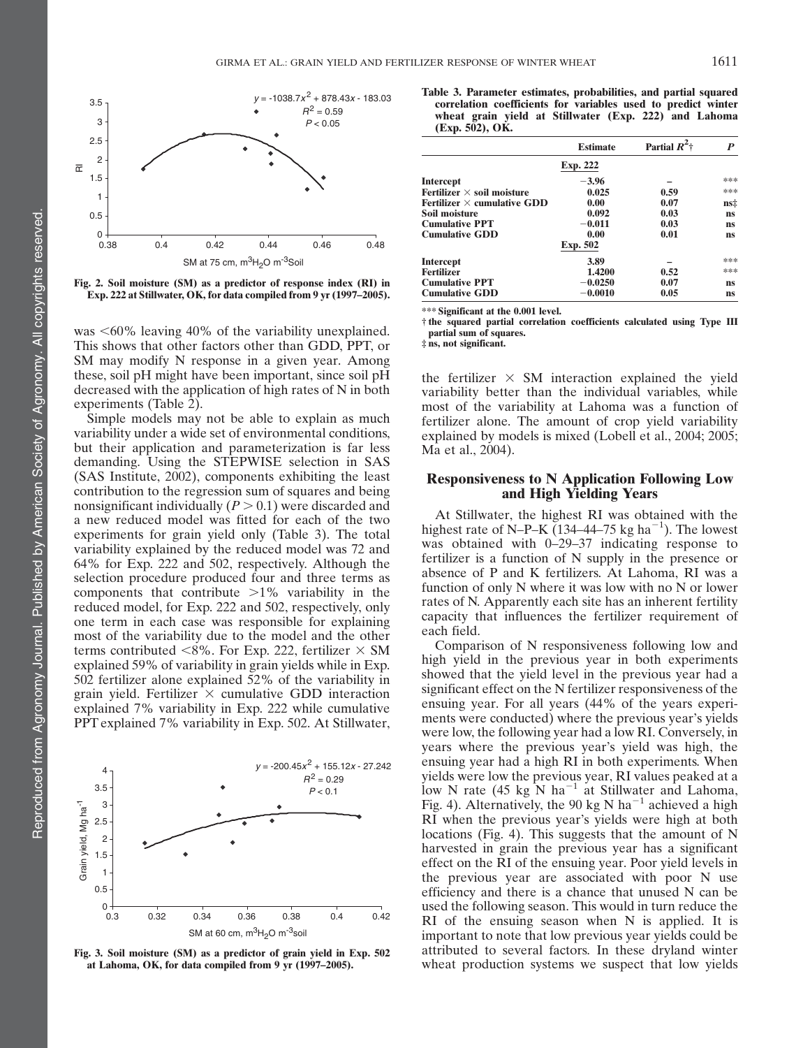

Fig. 2. Soil moisture (SM) as a predictor of response index (RI) in Exp. 222 at Stillwater, OK, for data compiled from 9 yr (1997–2005).

was  $\leq 60\%$  leaving 40% of the variability unexplained. This shows that other factors other than GDD, PPT, or SM may modify N response in a given year. Among these, soil pH might have been important, since soil pH decreased with the application of high rates of N in both experiments (Table 2).

Simple models may not be able to explain as much variability under a wide set of environmental conditions, but their application and parameterization is far less demanding. Using the STEPWISE selection in SAS (SAS Institute, 2002), components exhibiting the least contribution to the regression sum of squares and being nonsignificant individually  $(P > 0.1)$  were discarded and a new reduced model was fitted for each of the two experiments for grain yield only (Table 3). The total variability explained by the reduced model was 72 and 64% for Exp. 222 and 502, respectively. Although the selection procedure produced four and three terms as components that contribute  $>1\%$  variability in the reduced model, for Exp. 222 and 502, respectively, only one term in each case was responsible for explaining most of the variability due to the model and the other terms contributed <8%. For Exp. 222, fertilizer  $\times$  SM explained 59% of variability in grain yields while in Exp. 502 fertilizer alone explained 52% of the variability in grain yield. Fertilizer  $\times$  cumulative GDD interaction explained 7% variability in Exp. 222 while cumulative PPT explained 7% variability in Exp. 502. At Stillwater,



Fig. 3. Soil moisture (SM) as a predictor of grain yield in Exp. 502 at Lahoma, OK, for data compiled from 9 yr (1997–2005).

Table 3. Parameter estimates, probabilities, and partial squared correlation coefficients for variables used to predict winter wheat grain yield at Stillwater (Exp. 222) and Lahoma  $(Exp. 502)$ , OK.

|                                    | <b>Estimate</b> | Partial $R^2$ | P   |  |
|------------------------------------|-----------------|---------------|-----|--|
|                                    | Exp. 222        |               |     |  |
| <b>Intercept</b>                   | $-3.96$         |               | *** |  |
| Fertilizer $\times$ soil moisture  | 0.025           | 0.59          | *** |  |
| Fertilizer $\times$ cumulative GDD | 0.00            | 0.07          | ns‡ |  |
| Soil moisture                      | 0.092           | 0.03          | ns  |  |
| <b>Cumulative PPT</b>              | $-0.011$        | 0.03          | ns  |  |
| <b>Cumulative GDD</b>              | 0.00            | 0.01          | ns  |  |
|                                    | Exp. 502        |               |     |  |
| <b>Intercept</b>                   | 3.89            |               | *** |  |
| <b>Fertilizer</b>                  | 1.4200          | 0.52          | *** |  |
| <b>Cumulative PPT</b>              | $-0.0250$       | 0.07          | ns  |  |
| <b>Cumulative GDD</b>              | $-0.0010$       | 0.05          | ns  |  |

\*\*\* Significant at the 0.001 level.

† the squared partial correlation coefficients calculated using Type III partial sum of squares.

‡ ns, not significant.

the fertilizer  $\times$  SM interaction explained the yield variability better than the individual variables, while most of the variability at Lahoma was a function of fertilizer alone. The amount of crop yield variability explained by models is mixed (Lobell et al., 2004; 2005; Ma et al., 2004).

# Responsiveness to N Application Following Low and High Yielding Years

At Stillwater, the highest RI was obtained with the highest rate of N–P–K  $(134-44-75 \text{ kg ha}^{-1})$ . The lowest was obtained with 0–29–37 indicating response to fertilizer is a function of N supply in the presence or absence of P and K fertilizers. At Lahoma, RI was a function of only N where it was low with no N or lower rates of N. Apparently each site has an inherent fertility capacity that influences the fertilizer requirement of each field.

Comparison of N responsiveness following low and high yield in the previous year in both experiments showed that the yield level in the previous year had a significant effect on the N fertilizer responsiveness of the ensuing year. For all years (44% of the years experiments were conducted) where the previous year's yields were low, the following year had a low RI. Conversely, in years where the previous year's yield was high, the ensuing year had a high RI in both experiments. When yields were low the previous year, RI values peaked at a low N rate (45 kg N ha<sup> $-1$ </sup> at Stillwater and Lahoma, Fig. 4). Alternatively, the 90 kg N ha<sup>-1</sup> achieved a high RI when the previous year's yields were high at both locations (Fig. 4). This suggests that the amount of N harvested in grain the previous year has a significant effect on the RI of the ensuing year. Poor yield levels in the previous year are associated with poor N use efficiency and there is a chance that unused N can be used the following season. This would in turn reduce the RI of the ensuing season when N is applied. It is important to note that low previous year yields could be attributed to several factors. In these dryland winter wheat production systems we suspect that low yields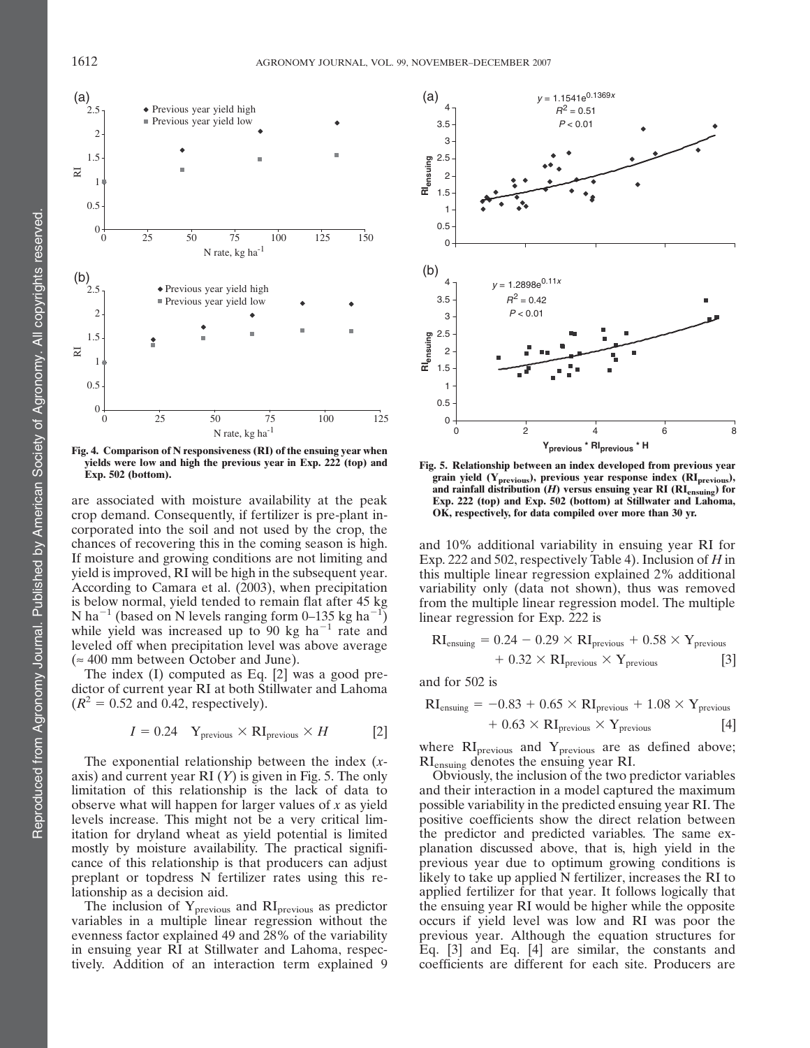

Fig. 4. Comparison of N responsiveness (RI) of the ensuing year when yields were low and high the previous year in Exp. 222 (top) and Exp. 502 (bottom).

are associated with moisture availability at the peak crop demand. Consequently, if fertilizer is pre-plant incorporated into the soil and not used by the crop, the chances of recovering this in the coming season is high. If moisture and growing conditions are not limiting and yield is improved, RI will be high in the subsequent year. According to Camara et al. (2003), when precipitation is below normal, yield tended to remain flat after 45 kg N ha<sup>-1</sup> (based on N levels ranging form 0–135 kg ha<sup>-1</sup>) while yield was increased up to 90 kg ha<sup> $-1$ </sup> rate and leveled off when precipitation level was above average (*»* 400 mm between October and June).

The index (I) computed as Eq. [2] was a good predictor of current year RI at both Stillwater and Lahoma  $(R^2 = 0.52$  and 0.42, respectively).

$$
I = 0.24 \quad Y_{\text{previous}} \times \text{RI}_{\text{previous}} \times H \tag{2}
$$

The exponential relationship between the index (xaxis) and current year RI  $(Y)$  is given in Fig. 5. The only limitation of this relationship is the lack of data to observe what will happen for larger values of  $x$  as yield levels increase. This might not be a very critical limitation for dryland wheat as yield potential is limited mostly by moisture availability. The practical significance of this relationship is that producers can adjust preplant or topdress N fertilizer rates using this relationship as a decision aid.

The inclusion of Yprevious and RIprevious as predictor variables in a multiple linear regression without the evenness factor explained 49 and 28% of the variability in ensuing year RI at Stillwater and Lahoma, respectively. Addition of an interaction term explained 9



Fig. 5. Relationship between an index developed from previous year grain yield (Y<sub>previous</sub>), previous year response index (RI<sub>previous</sub>), and rainfall distribution  $(H)$  versus ensuing year RI ( $\text{RI}_{\text{ensuing}}$ ) for Exp. 222 (top) and Exp. 502 (bottom) at Stillwater and Lahoma, OK, respectively, for data compiled over more than 30 yr.

and 10% additional variability in ensuing year RI for Exp. 222 and 502, respectively Table 4). Inclusion of H in this multiple linear regression explained 2% additional variability only (data not shown), thus was removed from the multiple linear regression model. The multiple linear regression for Exp. 222 is

$$
RI_{\text{ensuing}} = 0.24 - 0.29 \times RI_{\text{previous}} + 0.58 \times Y_{\text{previous}} + 0.32 \times RI_{\text{previous}} \times Y_{\text{previous}} \tag{3}
$$

and for 502 is

$$
RI_{\text{ensuing}} = -0.83 + 0.65 \times RI_{\text{previous}} + 1.08 \times Y_{\text{previous}} + 0.63 \times RI_{\text{previous}} \times Y_{\text{previous}} \tag{4}
$$

where  $\text{RI}_{\text{previous}}$  and  $\text{Y}_{\text{previous}}$  are as defined above; RIensuing denotes the ensuing year RI.

Obviously, the inclusion of the two predictor variables and their interaction in a model captured the maximum possible variability in the predicted ensuing year RI. The positive coefficients show the direct relation between the predictor and predicted variables. The same explanation discussed above, that is, high yield in the previous year due to optimum growing conditions is likely to take up applied N fertilizer, increases the RI to applied fertilizer for that year. It follows logically that the ensuing year RI would be higher while the opposite occurs if yield level was low and RI was poor the previous year. Although the equation structures for Eq. [3] and Eq. [4] are similar, the constants and coefficients are different for each site. Producers are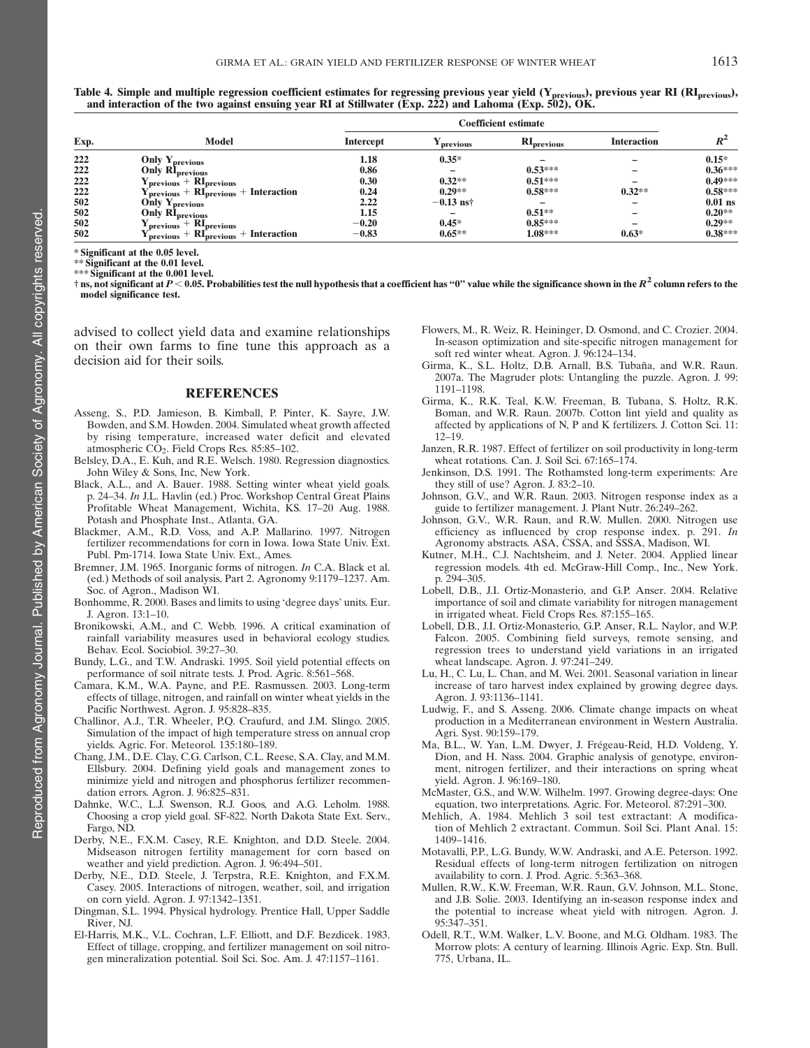Table 4. Simple and multiple regression coefficient estimates for regressing previous year yield (Y<sub>previous</sub>), previous year RI (RI<sub>previous</sub>), and interaction of the two against ensuing year RI at Stillwater (Exp. 222) and Lahoma (Exp. 502), OK.

| Exp. |                                                                                         | <b>Coefficient estimate</b> |                       |                                 |                    |              |
|------|-----------------------------------------------------------------------------------------|-----------------------------|-----------------------|---------------------------------|--------------------|--------------|
|      | Model                                                                                   | <b>Intercept</b>            | <sup>I</sup> previous | $\mathbf{RI}_{\text{previous}}$ | <b>Interaction</b> | $\mathbf{L}$ |
| 222  | <b>Only Yprevious</b>                                                                   | 1.18                        | $0.35*$               |                                 |                    | $0.15*$      |
| 222  | <b>Only RI</b> previous                                                                 | 0.86                        |                       | $0.53***$                       |                    | $0.36***$    |
| 222  |                                                                                         | 0.30                        | $0.32**$              | $0.51***$                       |                    | $0.49***$    |
| 222  | $Y_{previous} + RI_{previous}$<br>$Y_{previous} + RI_{previous} + Interaction$          | 0.24                        | $0.29**$              | $0.58***$                       | $0.32**$           | $0.58***$    |
| 502  | Only $Y_{\text{previous}}$                                                              | 2.22                        | $-0.13$ nst           |                                 |                    | $0.01$ ns    |
| 502  | <b>Only RI</b> previous                                                                 | 1.15                        |                       | $0.51**$                        |                    | $0.20**$     |
| 502  | $\mathbf{Y}_{\text{previous}} + \mathbf{R}\mathbf{I}_{\text{previous}}$                 | $-0.20$                     | $0.45*$               | $0.85***$                       |                    | $0.29**$     |
| 502  | $\frac{\text{previous}}{\text{previous}}$ + $\text{RI}_{\text{previous}}$ + Interaction | $-0.83$                     | $0.65***$             | $1.08***$                       | $0.63*$            | $0.38***$    |

\* Significant at the 0.05 level.

\*\* Significant at the 0.01 level.

\*\*\* Significant at the 0.001 level.

† ns, not significant at  $P < 0.05$ . Probabilities test the null hypothesis that a coefficient has "0" value while the significance shown in the  $R^2$  column refers to the model significance test.

advised to collect yield data and examine relationships on their own farms to fine tune this approach as a decision aid for their soils.

#### REFERENCES

- Asseng, S., P.D. Jamieson, B. Kimball, P. Pinter, K. Sayre, J.W. Bowden, and S.M. Howden. 2004. Simulated wheat growth affected by rising temperature, increased water deficit and elevated atmospheric CO<sub>2</sub>. Field Crops Res. 85:85-102.
- Belsley, D.A., E. Kuh, and R.E. Welsch. 1980. Regression diagnostics. John Wiley & Sons, Inc, New York.
- Black, A.L., and A. Bauer. 1988. Setting winter wheat yield goals. p. 24–34. In J.L. Havlin (ed.) Proc. Workshop Central Great Plains Profitable Wheat Management, Wichita, KS. 17–20 Aug. 1988. Potash and Phosphate Inst., Atlanta, GA.
- Blackmer, A.M., R.D. Voss, and A.P. Mallarino. 1997. Nitrogen fertilizer recommendations for corn in Iowa. Iowa State Univ. Ext. Publ. Pm-1714. Iowa State Univ. Ext., Ames.
- Bremner, J.M. 1965. Inorganic forms of nitrogen. In C.A. Black et al. (ed.) Methods of soil analysis, Part 2. Agronomy 9:1179–1237. Am. Soc. of Agron., Madison WI.
- Bonhomme, R. 2000. Bases and limits to using 'degree days' units. Eur. J. Agron. 13:1–10.
- Bronikowski, A.M., and C. Webb. 1996. A critical examination of rainfall variability measures used in behavioral ecology studies. Behav. Ecol. Sociobiol. 39:27–30.
- Bundy, L.G., and T.W. Andraski. 1995. Soil yield potential effects on performance of soil nitrate tests. J. Prod. Agric. 8:561–568.
- Camara, K.M., W.A. Payne, and P.E. Rasmussen. 2003. Long-term effects of tillage, nitrogen, and rainfall on winter wheat yields in the Pacific Northwest. Agron. J. 95:828–835.
- Challinor, A.J., T.R. Wheeler, P.Q. Craufurd, and J.M. Slingo. 2005. Simulation of the impact of high temperature stress on annual crop yields. Agric. For. Meteorol. 135:180–189.
- Chang, J.M., D.E. Clay, C.G. Carlson, C.L. Reese, S.A. Clay, and M.M. Ellsbury. 2004. Defining yield goals and management zones to minimize yield and nitrogen and phosphorus fertilizer recommendation errors. Agron. J. 96:825–831.
- Dahnke, W.C., L.J. Swenson, R.J. Goos, and A.G. Leholm. 1988. Choosing a crop yield goal. SF-822. North Dakota State Ext. Serv., Fargo, ND.
- Derby, N.E., F.X.M. Casey, R.E. Knighton, and D.D. Steele. 2004. Midseason nitrogen fertility management for corn based on weather and yield prediction. Agron. J. 96:494–501.
- Derby, N.E., D.D. Steele, J. Terpstra, R.E. Knighton, and F.X.M. Casey. 2005. Interactions of nitrogen, weather, soil, and irrigation on corn yield. Agron. J. 97:1342–1351.
- Dingman, S.L. 1994. Physical hydrology. Prentice Hall, Upper Saddle River, NJ.
- El-Harris, M.K., V.L. Cochran, L.F. Elliott, and D.F. Bezdicek. 1983. Effect of tillage, cropping, and fertilizer management on soil nitrogen mineralization potential. Soil Sci. Soc. Am. J. 47:1157–1161.
- Flowers, M., R. Weiz, R. Heininger, D. Osmond, and C. Crozier. 2004. In-season optimization and site-specific nitrogen management for soft red winter wheat. Agron. J. 96:124–134.
- Girma, K., S.L. Holtz, D.B. Arnall, B.S. Tubaña, and W.R. Raun. 2007a. The Magruder plots: Untangling the puzzle. Agron. J. 99: 1191–1198.
- Girma, K., R.K. Teal, K.W. Freeman, B. Tubana, S. Holtz, R.K. Boman, and W.R. Raun. 2007b. Cotton lint yield and quality as affected by applications of N, P and K fertilizers. J. Cotton Sci. 11: 12–19.
- Janzen, R.R. 1987. Effect of fertilizer on soil productivity in long-term wheat rotations. Can. J. Soil Sci. 67:165–174.
- Jenkinson, D.S. 1991. The Rothamsted long-term experiments: Are they still of use? Agron. J. 83:2–10.
- Johnson, G.V., and W.R. Raun. 2003. Nitrogen response index as a guide to fertilizer management. J. Plant Nutr. 26:249–262.
- Johnson, G.V., W.R. Raun, and R.W. Mullen. 2000. Nitrogen use efficiency as influenced by crop response index. p. 291. In Agronomy abstracts. ASA, CSSA, and SSSA, Madison, WI.
- Kutner, M.H., C.J. Nachtsheim, and J. Neter. 2004. Applied linear regression models. 4th ed. McGraw-Hill Comp., Inc., New York. p. 294–305.
- Lobell, D.B., J.I. Ortiz-Monasterio, and G.P. Anser. 2004. Relative importance of soil and climate variability for nitrogen management in irrigated wheat. Field Crops Res. 87:155–165.
- Lobell, D.B., J.I. Ortiz-Monasterio, G.P. Anser, R.L. Naylor, and W.P. Falcon. 2005. Combining field surveys, remote sensing, and regression trees to understand yield variations in an irrigated wheat landscape. Agron. J. 97:241–249.
- Lu, H., C. Lu, L. Chan, and M. Wei. 2001. Seasonal variation in linear increase of taro harvest index explained by growing degree days. Agron. J. 93:1136–1141.
- Ludwig, F., and S. Asseng. 2006. Climate change impacts on wheat production in a Mediterranean environment in Western Australia. Agri. Syst. 90:159–179.
- Ma, B.L., W. Yan, L.M. Dwyer, J. Frégeau-Reid, H.D. Voldeng, Y. Dion, and H. Nass. 2004. Graphic analysis of genotype, environment, nitrogen fertilizer, and their interactions on spring wheat yield. Agron. J. 96:169–180.
- McMaster, G.S., and W.W. Wilhelm. 1997. Growing degree-days: One equation, two interpretations. Agric. For. Meteorol. 87:291–300.
- Mehlich, A. 1984. Mehlich 3 soil test extractant: A modification of Mehlich 2 extractant. Commun. Soil Sci. Plant Anal. 15: 1409–1416.
- Motavalli, P.P., L.G. Bundy, W.W. Andraski, and A.E. Peterson. 1992. Residual effects of long-term nitrogen fertilization on nitrogen availability to corn. J. Prod. Agric. 5:363–368.
- Mullen, R.W., K.W. Freeman, W.R. Raun, G.V. Johnson, M.L. Stone, and J.B. Solie. 2003. Identifying an in-season response index and the potential to increase wheat yield with nitrogen. Agron. J. 95:347–351.
- Odell, R.T., W.M. Walker, L.V. Boone, and M.G. Oldham. 1983. The Morrow plots: A century of learning. Illinois Agric. Exp. Stn. Bull. 775, Urbana, IL.